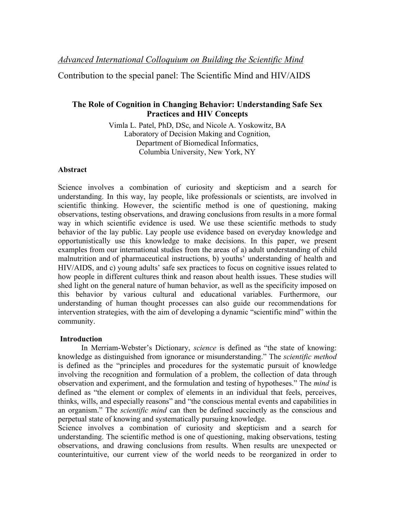Contribution to the special panel: The Scientific Mind and HIV/AIDS

# **The Role of Cognition in Changing Behavior: Understanding Safe Sex Practices and HIV Concepts**

Vimla L. Patel, PhD, DSc, and Nicole A. Yoskowitz, BA Laboratory of Decision Making and Cognition, Department of Biomedical Informatics, Columbia University, New York, NY

## **Abstract**

Science involves a combination of curiosity and skepticism and a search for understanding. In this way, lay people, like professionals or scientists, are involved in scientific thinking. However, the scientific method is one of questioning, making observations, testing observations, and drawing conclusions from results in a more formal way in which scientific evidence is used. We use these scientific methods to study behavior of the lay public. Lay people use evidence based on everyday knowledge and opportunistically use this knowledge to make decisions. In this paper, we present examples from our international studies from the areas of a) adult understanding of child malnutrition and of pharmaceutical instructions, b) youths' understanding of health and HIV/AIDS, and c) young adults' safe sex practices to focus on cognitive issues related to how people in different cultures think and reason about health issues. These studies will shed light on the general nature of human behavior, as well as the specificity imposed on this behavior by various cultural and educational variables. Furthermore, our understanding of human thought processes can also guide our recommendations for intervention strategies, with the aim of developing a dynamic "scientific mind" within the community.

## **Introduction**

In Merriam-Webster's Dictionary, *science* is defined as "the state of knowing: knowledge as distinguished from ignorance or misunderstanding." The *scientific method* is defined as the "principles and procedures for the systematic pursuit of knowledge involving the recognition and formulation of a problem, the collection of data through observation and experiment, and the formulation and testing of hypotheses." The *mind* is defined as "the element or complex of elements in an individual that feels, perceives, thinks, wills, and especially reasons" and "the conscious mental events and capabilities in an organism." The *scientific mind* can then be defined succinctly as the conscious and perpetual state of knowing and systematically pursuing knowledge.

Science involves a combination of curiosity and skepticism and a search for understanding. The scientific method is one of questioning, making observations, testing observations, and drawing conclusions from results. When results are unexpected or counterintuitive, our current view of the world needs to be reorganized in order to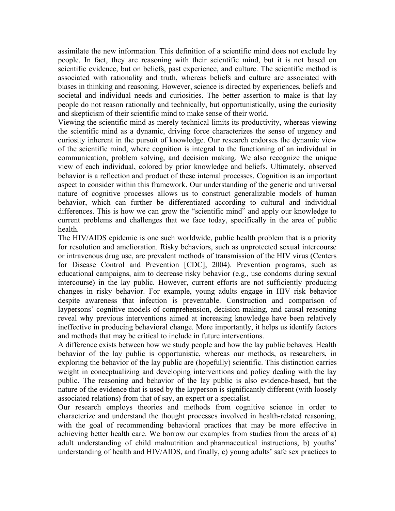assimilate the new information. This definition of a scientific mind does not exclude lay people. In fact, they are reasoning with their scientific mind, but it is not based on scientific evidence, but on beliefs, past experience, and culture. The scientific method is associated with rationality and truth, whereas beliefs and culture are associated with biases in thinking and reasoning. However, science is directed by experiences, beliefs and societal and individual needs and curiosities. The better assertion to make is that lay people do not reason rationally and technically, but opportunistically, using the curiosity and skepticism of their scientific mind to make sense of their world.

Viewing the scientific mind as merely technical limits its productivity, whereas viewing the scientific mind as a dynamic, driving force characterizes the sense of urgency and curiosity inherent in the pursuit of knowledge. Our research endorses the dynamic view of the scientific mind, where cognition is integral to the functioning of an individual in communication, problem solving, and decision making. We also recognize the unique view of each individual, colored by prior knowledge and beliefs. Ultimately, observed behavior is a reflection and product of these internal processes. Cognition is an important aspect to consider within this framework. Our understanding of the generic and universal nature of cognitive processes allows us to construct generalizable models of human behavior, which can further be differentiated according to cultural and individual differences. This is how we can grow the "scientific mind" and apply our knowledge to current problems and challenges that we face today, specifically in the area of public health.

The HIV/AIDS epidemic is one such worldwide, public health problem that is a priority for resolution and amelioration. Risky behaviors, such as unprotected sexual intercourse or intravenous drug use, are prevalent methods of transmission of the HIV virus (Centers for Disease Control and Prevention [CDC], 2004). Prevention programs, such as educational campaigns, aim to decrease risky behavior (e.g., use condoms during sexual intercourse) in the lay public. However, current efforts are not sufficiently producing changes in risky behavior. For example, young adults engage in HIV risk behavior despite awareness that infection is preventable. Construction and comparison of laypersons' cognitive models of comprehension, decision-making, and causal reasoning reveal why previous interventions aimed at increasing knowledge have been relatively ineffective in producing behavioral change. More importantly, it helps us identify factors and methods that may be critical to include in future interventions.

A difference exists between how we study people and how the lay public behaves. Health behavior of the lay public is opportunistic, whereas our methods, as researchers, in exploring the behavior of the lay public are (hopefully) scientific. This distinction carries weight in conceptualizing and developing interventions and policy dealing with the lay public. The reasoning and behavior of the lay public is also evidence-based, but the nature of the evidence that is used by the layperson is significantly different (with loosely associated relations) from that of say, an expert or a specialist.

Our research employs theories and methods from cognitive science in order to characterize and understand the thought processes involved in health-related reasoning, with the goal of recommending behavioral practices that may be more effective in achieving better health care. We borrow our examples from studies from the areas of a) adult understanding of child malnutrition and pharmaceutical instructions, b) youths' understanding of health and HIV/AIDS, and finally, c) young adults' safe sex practices to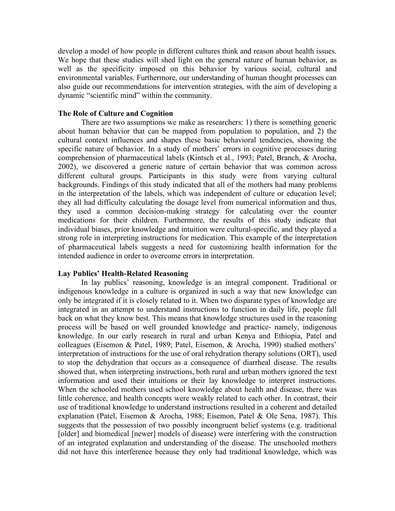develop a model of how people in different cultures think and reason about health issues. We hope that these studies will shed light on the general nature of human behavior, as well as the specificity imposed on this behavior by various social, cultural and environmental variables. Furthermore, our understanding of human thought processes can also guide our recommendations for intervention strategies, with the aim of developing a dynamic "scientific mind" within the community.

#### **The Role of Culture and Cognition**

There are two assumptions we make as researchers: 1) there is something generic about human behavior that can be mapped from population to population, and 2) the cultural context influences and shapes these basic behavioral tendencies, showing the specific nature of behavior. In a study of mothers' errors in cognitive processes during comprehension of pharmaceutical labels (Kintsch et al., 1993; Patel, Branch, & Arocha, 2002), we discovered a generic nature of certain behavior that was common across different cultural groups. Participants in this study were from varying cultural backgrounds. Findings of this study indicated that all of the mothers had many problems in the interpretation of the labels, which was independent of culture or education level; they all had difficulty calculating the dosage level from numerical information and thus, they used a common decision-making strategy for calculating over the counter medications for their children. Furthermore, the results of this study indicate that individual biases, prior knowledge and intuition were cultural-specific, and they played a strong role in interpreting instructions for medication. This example of the interpretation of pharmaceutical labels suggests a need for customizing health information for the intended audience in order to overcome errors in interpretation.

### **Lay Publics' Health-Related Reasoning**

In lay publics' reasoning, knowledge is an integral component. Traditional or indigenous knowledge in a culture is organized in such a way that new knowledge can only be integrated if it is closely related to it. When two disparate types of knowledge are integrated in an attempt to understand instructions to function in daily life, people fall back on what they know best. This means that knowledge structures used in the reasoning process will be based on well grounded knowledge and practice- namely, indigenous knowledge. In our early research in rural and urban Kenya and Ethiopia, Patel and colleagues (Eisemon & Patel, 1989; Patel, Eisemon, & Arocha, 1990) studied mothers' interpretation of instructions for the use of oral rehydration therapy solutions (ORT), used to stop the dehydration that occurs as a consequence of diarrheal disease. The results showed that, when interpreting instructions, both rural and urban mothers ignored the text information and used their intuitions or their lay knowledge to interpret instructions. When the schooled mothers used school knowledge about health and disease, there was little coherence, and health concepts were weakly related to each other. In contrast, their use of traditional knowledge to understand instructions resulted in a coherent and detailed explanation (Patel, Eisemon & Arocha, 1988; Eisemon, Patel & Ole Sena, 1987). This suggests that the possession of two possibly incongruent belief systems (e.g. traditional [older] and biomedical [newer] models of disease) were interfering with the construction of an integrated explanation and understanding of the disease. The unschooled mothers did not have this interference because they only had traditional knowledge, which was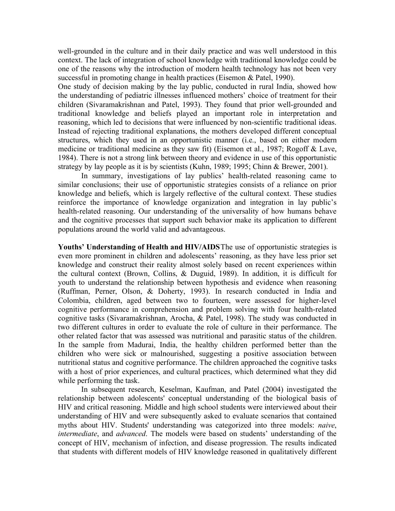well-grounded in the culture and in their daily practice and was well understood in this context. The lack of integration of school knowledge with traditional knowledge could be one of the reasons why the introduction of modern health technology has not been very successful in promoting change in health practices (Eisemon & Patel, 1990).

One study of decision making by the lay public, conducted in rural India, showed how the understanding of pediatric illnesses influenced mothers' choice of treatment for their children (Sivaramakrishnan and Patel, 1993). They found that prior well-grounded and traditional knowledge and beliefs played an important role in interpretation and reasoning, which led to decisions that were influenced by non-scientific traditional ideas. Instead of rejecting traditional explanations, the mothers developed different conceptual structures, which they used in an opportunistic manner (i.e., based on either modern medicine or traditional medicine as they saw fit) (Eisemon et al., 1987; Rogoff & Lave, 1984). There is not a strong link between theory and evidence in use of this opportunistic strategy by lay people as it is by scientists (Kuhn, 1989; 1995; Chinn & Brewer, 2001).

In summary, investigations of lay publics' health-related reasoning came to similar conclusions; their use of opportunistic strategies consists of a reliance on prior knowledge and beliefs, which is largely reflective of the cultural context. These studies reinforce the importance of knowledge organization and integration in lay public's health-related reasoning. Our understanding of the universality of how humans behave and the cognitive processes that support such behavior make its application to different populations around the world valid and advantageous.

**Youths' Understanding of Health and HIV/AIDS**The use of opportunistic strategies is even more prominent in children and adolescents' reasoning, as they have less prior set knowledge and construct their reality almost solely based on recent experiences within the cultural context (Brown, Collins, & Duguid, 1989). In addition, it is difficult for youth to understand the relationship between hypothesis and evidence when reasoning (Ruffman, Perner, Olson, & Doherty, 1993). In research conducted in India and Colombia, children, aged between two to fourteen, were assessed for higher-level cognitive performance in comprehension and problem solving with four health-related cognitive tasks (Sivaramakrishnan, Arocha, & Patel, 1998). The study was conducted in two different cultures in order to evaluate the role of culture in their performance. The other related factor that was assessed was nutritional and parasitic status of the children. In the sample from Madurai, India, the healthy children performed better than the children who were sick or malnourished, suggesting a positive association between nutritional status and cognitive performance. The children approached the cognitive tasks with a host of prior experiences, and cultural practices, which determined what they did while performing the task.

In subsequent research, Keselman, Kaufman, and Patel (2004) investigated the relationship between adolescents' conceptual understanding of the biological basis of HIV and critical reasoning. Middle and high school students were interviewed about their understanding of HIV and were subsequently asked to evaluate scenarios that contained myths about HIV. Students' understanding was categorized into three models: *naive*, *intermediate*, and *advanced*. The models were based on students' understanding of the concept of HIV, mechanism of infection, and disease progression. The results indicated that students with different models of HIV knowledge reasoned in qualitatively different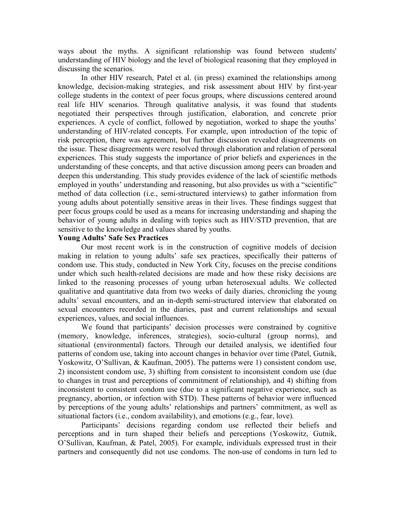ways about the myths. A significant relationship was found between students' understanding of HIV biology and the level of biological reasoning that they employed in discussing the scenarios.

In other HIV research, Patel et al. (in press) examined the relationships among knowledge, decision-making strategies, and risk assessment about HIV by first-year college students in the context of peer focus groups, where discussions centered around real life HIV scenarios. Through qualitative analysis, it was found that students negotiated their perspectives through justification, elaboration, and concrete prior experiences. A cycle of conflict, followed by negotiation, worked to shape the youths' understanding of HIV-related concepts. For example, upon introduction of the topic of risk perception, there was agreement, but further discussion revealed disagreements on the issue. These disagreements were resolved through elaboration and relation of personal experiences. This study suggests the importance of prior beliefs and experiences in the understanding of these concepts, and that active discussion among peers can broaden and deepen this understanding. This study provides evidence of the lack of scientific methods employed in youths' understanding and reasoning, but also provides us with a "scientific" method of data collection (i.e., semi-structured interviews) to gather information from young adults about potentially sensitive areas in their lives. These findings suggest that peer focus groups could be used as a means for increasing understanding and shaping the behavior of young adults in dealing with topics such as HIV/STD prevention, that are sensitive to the knowledge and values shared by youths.

### **Young Adults' Safe Sex Practices**

Our most recent work is in the construction of cognitive models of decision making in relation to young adults' safe sex practices, specifically their patterns of condom use. This study, conducted in New York City, focuses on the precise conditions under which such health-related decisions are made and how these risky decisions are linked to the reasoning processes of young urban heterosexual adults. We collected qualitative and quantitative data from two weeks of daily diaries, chronicling the young adults' sexual encounters, and an in-depth semi-structured interview that elaborated on sexual encounters recorded in the diaries, past and current relationships and sexual experiences, values, and social influences.

We found that participants' decision processes were constrained by cognitive (memory, knowledge, inferences, strategies), socio-cultural (group norms), and situational (environmental) factors. Through our detailed analysis, we identified four patterns of condom use, taking into account changes in behavior over time (Patel, Gutnik, Yoskowitz, O'Sullivan, & Kaufman, 2005). The patterns were 1) consistent condom use, 2) inconsistent condom use, 3) shifting from consistent to inconsistent condom use (due to changes in trust and perceptions of commitment of relationship), and 4) shifting from inconsistent to consistent condom use (due to a significant negative experience, such as pregnancy, abortion, or infection with STD). These patterns of behavior were influenced by perceptions of the young adults' relationships and partners' commitment, as well as situational factors (i.e., condom availability), and emotions (e.g., fear, love).

Participants' decisions regarding condom use reflected their beliefs and perceptions and in turn shaped their beliefs and perceptions (Yoskowitz, Gutnik, O'Sullivan, Kaufman, & Patel, 2005). For example, individuals expressed trust in their partners and consequently did not use condoms. The non-use of condoms in turn led to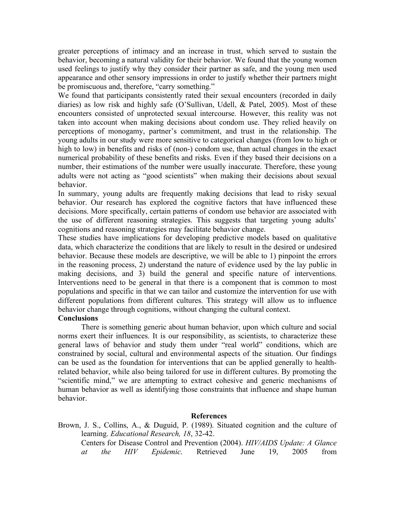greater perceptions of intimacy and an increase in trust, which served to sustain the behavior, becoming a natural validity for their behavior. We found that the young women used feelings to justify why they consider their partner as safe, and the young men used appearance and other sensory impressions in order to justify whether their partners might be promiscuous and, therefore, "carry something."

We found that participants consistently rated their sexual encounters (recorded in daily diaries) as low risk and highly safe (O'Sullivan, Udell, & Patel, 2005). Most of these encounters consisted of unprotected sexual intercourse. However, this reality was not taken into account when making decisions about condom use. They relied heavily on perceptions of monogamy, partner's commitment, and trust in the relationship. The young adults in our study were more sensitive to categorical changes (from low to high or high to low) in benefits and risks of (non-) condom use, than actual changes in the exact numerical probability of these benefits and risks. Even if they based their decisions on a number, their estimations of the number were usually inaccurate. Therefore, these young adults were not acting as "good scientists" when making their decisions about sexual behavior.

In summary, young adults are frequently making decisions that lead to risky sexual behavior. Our research has explored the cognitive factors that have influenced these decisions. More specifically, certain patterns of condom use behavior are associated with the use of different reasoning strategies. This suggests that targeting young adults' cognitions and reasoning strategies may facilitate behavior change.

These studies have implications for developing predictive models based on qualitative data, which characterize the conditions that are likely to result in the desired or undesired behavior. Because these models are descriptive, we will be able to 1) pinpoint the errors in the reasoning process, 2) understand the nature of evidence used by the lay public in making decisions, and 3) build the general and specific nature of interventions. Interventions need to be general in that there is a component that is common to most populations and specific in that we can tailor and customize the intervention for use with different populations from different cultures. This strategy will allow us to influence behavior change through cognitions, without changing the cultural context.

### **Conclusions**

There is something generic about human behavior, upon which culture and social norms exert their influences. It is our responsibility, as scientists, to characterize these general laws of behavior and study them under "real world" conditions, which are constrained by social, cultural and environmental aspects of the situation. Our findings can be used as the foundation for interventions that can be applied generally to healthrelated behavior, while also being tailored for use in different cultures. By promoting the "scientific mind," we are attempting to extract cohesive and generic mechanisms of human behavior as well as identifying those constraints that influence and shape human behavior.

#### **References**

Brown, J. S., Collins, A., & Duguid, P. (1989). Situated cognition and the culture of learning. *Educational Research, 18*, 32-42. Centers for Disease Control and Prevention (2004). *HIV/AIDS Update: A Glance at the HIV Epidemic*. Retrieved June 19, 2005 from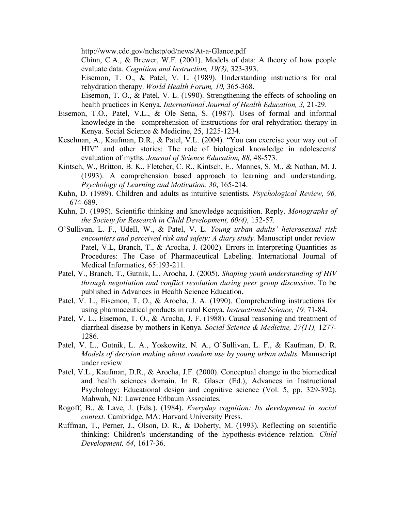http://www.cdc.gov/nchstp/od/news/At-a-Glance.pdf

Chinn, C.A., & Brewer, W.F. (2001). Models of data: A theory of how people evaluate data. *Cognition and Instruction, 19(3),* 323-393.

Eisemon, T. O., & Patel, V. L. (1989). Understanding instructions for oral rehydration therapy. *World Health Forum, 10,* 365-368.

Eisemon, T. O., & Patel, V. L. (1990). Strengthening the effects of schooling on health practices in Kenya. *International Journal of Health Education, 3,* 21-29.

- Eisemon, T.O., Patel, V.L., & Ole Sena, S. (1987). Uses of formal and informal knowledge in the comprehension of instructions for oral rehydration therapy in Kenya. Social Science & Medicine, 25, 1225-1234.
- Keselman, A., Kaufman, D.R., & Patel, V.L. (2004). "You can exercise your way out of HIV" and other stories: The role of biological knowledge in adolescents' evaluation of myths. *Journal of Science Education, 88*, 48-573.
- Kintsch, W., Britton, B. K., Fletcher, C. R., Kintsch, E., Mannes, S. M., & Nathan, M. J. (1993). A comprehension based approach to learning and understanding. *Psychology of Learning and Motivation, 30*, 165-214.
- Kuhn, D. (1989). Children and adults as intuitive scientists. *Psychological Review, 96,* 674-689.
- Kuhn, D. (1995). Scientific thinking and knowledge acquisition. Reply. *Monographs of the Society for Research in Child Development, 60(4),* 152-57.
- O'Sullivan, L. F., Udell, W., & Patel, V. L. *Young urban adults' heterosexual risk encounters and perceived risk and safety: A diary study.* Manuscript under review Patel, V.L, Branch, T., & Arocha, J. (2002). Errors in Interpreting Quantities as Procedures: The Case of Pharmaceutical Labeling. International Journal of Medical Informatics, 65:193-211.
- Patel, V., Branch, T., Gutnik, L., Arocha, J. (2005). *Shaping youth understanding of HIV through negotiation and conflict resolution during peer group discussion.* To be published in Advances in Health Science Education.
- Patel, V. L., Eisemon, T. O., & Arocha, J. A. (1990). Comprehending instructions for using pharmaceutical products in rural Kenya. *Instructional Science, 19,* 71-84.
- Patel, V. L., Eisemon, T. O., & Arocha, J. F. (1988). Causal reasoning and treatment of diarrheal disease by mothers in Kenya. *Social Science & Medicine, 27(11),* 1277- 1286.
- Patel, V. L., Gutnik, L. A., Yoskowitz, N. A., O'Sullivan, L. F., & Kaufman, D. R. *Models of decision making about condom use by young urban adults*. Manuscript under review
- Patel, V.L., Kaufman, D.R., & Arocha, J.F. (2000). Conceptual change in the biomedical and health sciences domain. In R. Glaser (Ed.), Advances in Instructional Psychology: Educational design and cognitive science (Vol. 5, pp. 329-392). Mahwah, NJ: Lawrence Erlbaum Associates.
- Rogoff, B., & Lave, J. (Eds.). (1984). *Everyday cognition: Its development in social context.* Cambridge, MA: Harvard University Press.
- Ruffman, T., Perner, J., Olson, D. R., & Doherty, M. (1993). Reflecting on scientific thinking: Children's understanding of the hypothesis-evidence relation. *Child Development, 64*, 1617-36.